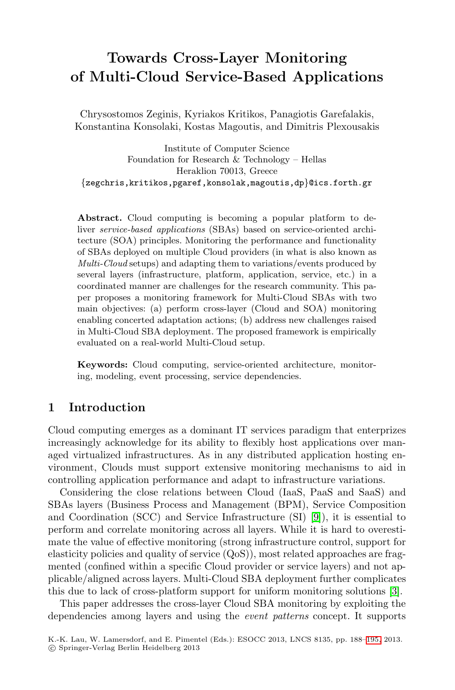# **Towards Cross-Layer Monitoring of Multi-Cloud Service-Based Applications**

Chrysostomos Zeginis, Kyriakos Kritikos, Panagiotis Garefalakis, Konstantina Konsolaki, Kostas Magoutis, and Dimitris Plexousakis

Institute of Computer Science Foundation for Research  $&$  Technology – Hellas Heraklion 70013, Greece *{*zegchris,kritikos,pgaref,konsolak,magoutis,dp*}*@ics.forth.gr

**Abstract.** Cloud computing is becoming a popular platform to deliver *service-based applications* (SBAs) based on service-oriented architecture (SOA) principles. Monitoring the performance and functionality of SBAs deployed on multiple Cloud providers (in what is also known as *Multi-Cloud* setups) and adapting them to variations/events produced by several layers (infrastructure, platform, application, service, etc.) in a coordinated manner are challenges for the research community. This paper proposes a monitoring framework for Multi-Cloud SBAs with two main objectives: (a) perform cross-layer (Cloud and SOA) monitoring enabling concerted adaptation actions; (b) address new challenges raised in Multi-Cloud SBA deployment. The proposed framework is empirically evaluated on a real-world Multi-Cloud setup.

**Keywords:** Cloud computing, service-oriented architecture, monitoring, modeling, event processing, service dependencies.

### **1 Introduction**

Cloud computing emerges as a dominan[t](#page-7-0) [I](#page-7-0)T services paradigm that enterprizes increasingly acknowledge for its ability to flexibly host applications over managed virtualized infrastructures. As in any distributed application hosting environment, Clouds must support extensive monitoring mechanisms to aid in controlling application performance and adapt to infrastructure variations.

Considering the close relations between Cloud (IaaS, [Pa](#page-7-1)aS and SaaS) and SBAs layers (Business Process and Management (BPM), Service Composition and Coordination (SCC) and Service Infrastructure (SI) [9]), it is essential to perform and correlate monitoring across all layers. While it is hard to overestimate the value of effective monitoring (strong infrast[ruct](#page-7-2)ure control, support for elasticity policies and quality of service (QoS)), most related approaches are fragmented (confined within a specific Cloud provider or service layers) and not applicable/aligned across layers. Multi-Cloud SBA deployment further complicates this due to lack of cross-platform support for uniform monitoring solutions [3].

This paper addresses the cross-layer Cloud SBA monitoring by exploiting the dependencies among layers and using the *event patterns* concept. It supports

K.-K. Lau, W. Lamersdorf, and E. Pimentel (Eds.): ESOCC 2013, LNCS 8135, pp. 188–195, 2013. -c Springer-Verlag Berlin Heidelberg 2013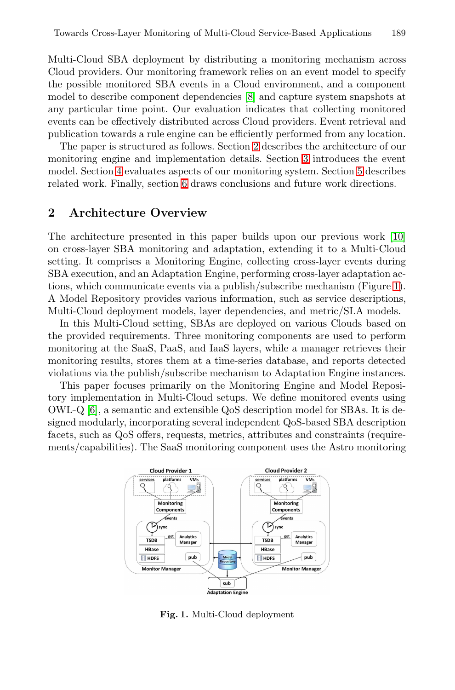<span id="page-1-0"></span>Multi-Cloud SBA deploym[en](#page-1-0)t by dist[rib](#page-3-0)uting a monitoring mechanism across Cloud providers. Our monitoring framework relies [on](#page-6-0) an event model to specify the possibl[e m](#page-6-1)onitored SBA events in a Cloud environment, and a component model to describe component dependencies [8] and capture system snapshots at any particular time point. Our evaluation indicates that collecting monitored events can be effectively distributed across Cloud providers. Event retrieval and publication towards a rule engine can be efficiently performed from any location.

The paper is structured as follows. Section 2 describes t[he](#page-7-3) [a](#page-7-3)rchitecture of our monitoring engine and implementation details. Section 3 introduces the event model. Section 4 evaluates aspects of our monitoring system. Section 5 describes related work. Finally, section 6 draws conclusions and fut[ure](#page-1-1) work directions.

### **2 Architecture Overview**

The architecture presented in this paper builds upon our previous work [10] on cross-layer SBA monitoring and adaptation, extending it to a Multi-Cloud setting. It comprises a Monitoring Engine, collecting cross-layer events during SBA execution, and an Adaptation Engine, performing cross-layer adaptation actions, which communicate events via a publish/subscribe mechanism (Figure 1). A Model Repository provides various information, such as service descriptions, Multi-Cloud deployment models, layer dependencies, and metric/SLA models.

In this Multi-Cloud setting, SBAs are deployed on various Clouds based on the provided requirements. Three monitoring components are used to perform monitoring at the SaaS, PaaS, and IaaS layers, while a manager retrieves their monitoring results, stores them at a time-series database, and reports detected violations via the publish/subscribe mechanism to Adaptation Engine instances.

This paper focuses primarily on the Monitoring Engine and Model Repository implementation in Multi-Cloud setups. We define monitored events using OWL-Q [6], a semantic and extensible QoS description model for SBAs. It is designed modularly, incorporating several independent QoS-based SBA description facets, such as QoS offers, requests, metrics, attributes and constraints (requirements/capabilities). The SaaS monitoring component uses the Astro monitoring

<span id="page-1-1"></span>

**Fig. 1.** Multi-Cloud deployment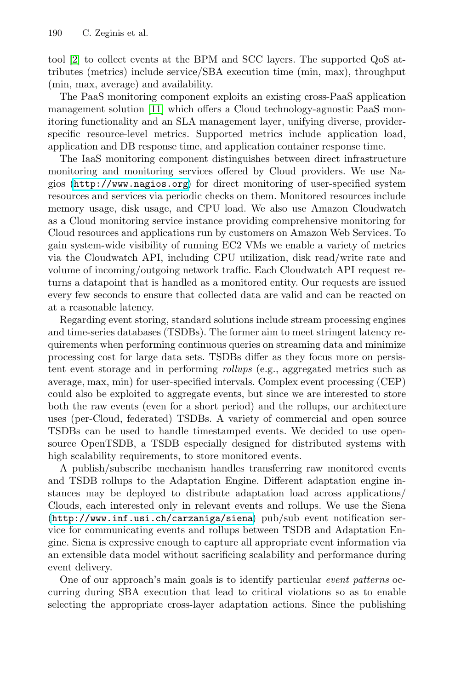190 C. Zeginis et al.

tool [2] to collect events at the BPM and SCC layers. The supported QoS attributes (metrics) include service/SBA execution time (min, max), throughput [\(min, max, av](http://www.nagios.org)erage) and availability.

The PaaS monitoring component exploits an existing cross-PaaS application management solution [11] which offers a Cloud technology-agnostic PaaS monitoring functionality and an SLA management layer, unifying diverse, providerspecific resource-level metrics. Supported metrics include application load, application and DB response time, and application container response time.

The IaaS monitoring component distinguishes between direct infrastructure monitoring and monitoring services offered by Cloud providers. We use Nagios (http://www.nagios.org) for direct monitoring of user-specified system resources and services via periodic checks on them. Monitored resources include memory usage, disk usage, and CPU load. We also use Amazon Cloudwatch as a Cloud monitoring service instance providing comprehensive monitoring for Cloud resources and applications run by customers on Amazon Web Services. To gain system-wide visibility of running EC2 VMs we enable a variety of metrics via the Cloudwatch API, including CPU utilization, disk read/write rate and volume of incoming/outgoing network traffic. Each Cloudwatch API request returns a datapoint that is handled as a monitored entity. Our requests are issued every few seconds to ensure that collected data are valid and can be reacted on at a reasonable latency.

Regarding event storing, standard solutions include stream processing engines and time-series databases (TSDBs). The former aim to meet stringent latency requirements when performing continuous queries on streaming data and minimize processing cost for large data sets. TSDBs differ as they focus more on persistent event storage and in performing *rollups* (e.g., aggregated metrics such as average, max, min) for user-specified intervals. Complex event processing (CEP) could also be exploited to aggregate events, but since we are interested to store both the raw events (even for a short period) and the rollups, our architecture [uses \(per-Cloud, federated\)](http://www.inf.usi.ch/carzaniga/siena) TSDBs. A variety of commercial and open source TSDBs can be used to handle timestamped events. We decided to use opensource OpenTSDB, a TSDB especially designed for distributed systems with high scalability requirements, to store monitored events.

A publish/subscribe mechanism handles transferring raw monitored events and TSDB rollups to the Adaptation Engine. Different adaptation engine instances may be deployed to distribute adaptation load across applications/ Clouds, each interested only in relevant events and rollups. We use the Siena (http://www.inf.usi.ch/carzaniga/siena) pub/sub event notification service for communicating events and rollups between TSDB and Adaptation Engine. Siena is expressive enough to capture all appropriate event information via an extensible data model without sacrificing scalability and performance during event delivery.

One of our approach's main goals is to identify particular *event patterns* occurring during SBA execution that lead to critical violations so as to enable selecting the appropriate cross-layer adaptation actions. Since the publishing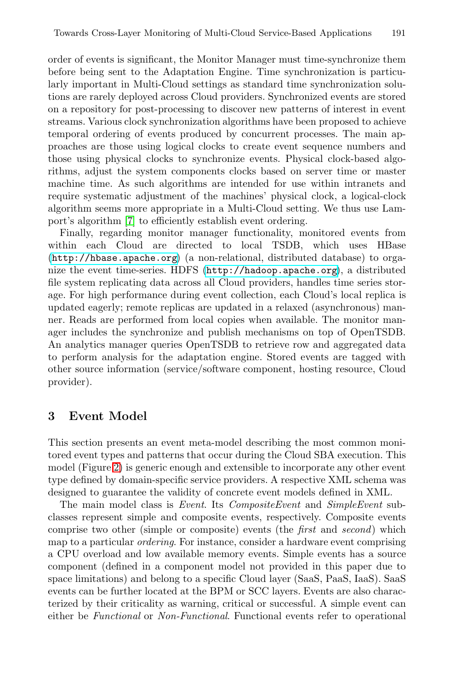order of events is significant, the Monitor Manager must time-synchronize them before being sent to the Adaptation Engine. Time synchronization is particularly important in Multi-Cloud settings as standard time synchronization solutions are rarely deployed across Cloud providers. Synchronized events are stored on a repository for post-processing to discover new patterns of interest in event [st](#page-7-4)reams. Various clock synchronization algorithms have been proposed to achieve temporal ordering of events produced by concurrent processes. The main approaches are those using logical clocks to create event sequence numbers and [those using](http://hbase.apache.org) physical clocks to synchronize events. Physical clock-based algorithms, adjust t[he system components](http://hadoop.apache.org) clocks based on server time or master machine time. As such algorithms are intended for use within intranets and require systematic adjustment of the machines' physical clock, a logical-clock algorithm seems more appropriate in a Multi-Cloud setting. We thus use Lamport's algorithm [7] to efficiently establish event ordering.

<span id="page-3-0"></span>Finally, regarding monitor manager functionality, monitored events from within each Cloud are directed to local TSDB, which uses HBase (http://hbase.apache.org) (a non-relational, distributed database) to organize the event time-series. HDFS (http://hadoop.apache.org), a distributed file system replicating data across all Cloud providers, handles time series storage. For high performance during event collection, each Cloud's local replica is updated eagerly; remote replicas are updated in a relaxed (asynchronous) manner. Reads are performed from local copies when available. The monitor manager includes the synchronize and publish mechanisms on top of OpenTSDB. An analytics manager queries OpenTSDB to retrieve row and aggregated data to perform analysis for the adaptation engine. Stored events are tagged with other source information (service/software component, hosting resource, Cloud provider).

#### **3 Event Model**

This section presents an event meta-model describing the most common monitored event types and patterns that occur during the Cloud SBA execution. This model (Figure 2) is generic enough and extensible to incorporate any other event type defined by domain-specific service providers. A respective XML schema was designed to guarantee the validity of concrete event models defined in XML.

The main model class is *Event*. Its *CompositeEvent* and *SimpleEvent* subclasses represent simple and composite events, respectively. Composite events comprise two other (simple or composite) events (the *first* and *second*) which map to a particular *ordering*. For instance, consider a hardware event comprising a CPU overload and low available memory events. Simple events has a source component (defined in a component model not provided in this paper due to space limitations) and belong to a specific Cloud layer (SaaS, PaaS, IaaS). SaaS events can be further located at the BPM or SCC layers. Events are also characterized by their criticality as warning, critical or successful. A simple event can either be *Functional* or *Non-Functional*. Functional events refer to operational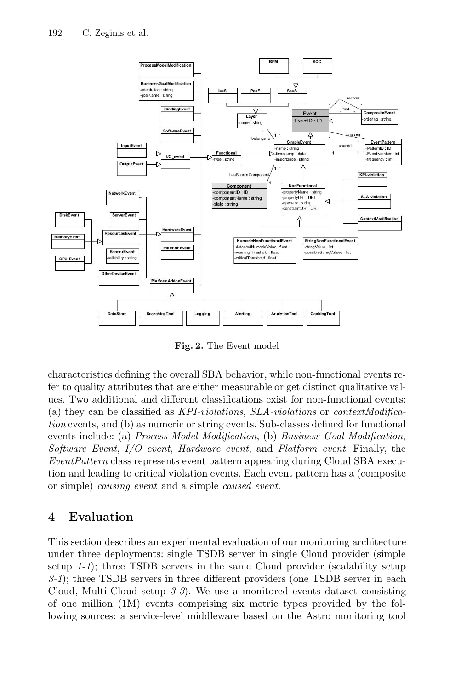

**Fig. 2.** The Event model

characteristics defining the overall SBA behavior, while non-functional events refer to quality attributes that are either measurable or get distinct qualitative values. Two additional and different classifications exist for non-functional events: (a) they can be classified as *KPI-violations*, *SLA-violations* or *contextModification* events, and (b) as numeric or string events. Sub-classes defined for functional events include: (a) *Process Model Modification*, (b) *Business Goal Modification*, *Software Event*, *I/O event*, *Hardware event*, and *Platform event*. Finally, the *EventPattern* class represents event pattern appearing during Cloud SBA execution and leading to critical violation events. Each event pattern has a (composite or simple) *causing event* and a simple *caused event*.

## **4 Evaluation**

This section describes an experimental evaluation of our monitoring architecture under three deployments: single TSDB server in single Cloud provider (simple setup  $1-1$ ; three TSDB servers in the same Cloud provider (scalability setup *3-1*); three TSDB servers in three different providers (one TSDB server in each Cloud, Multi-Cloud setup *3-3*). We use a monitored events dataset consisting of one million (1M) events comprising six metric types provided by the following sources: a service-level middleware based on the Astro monitoring tool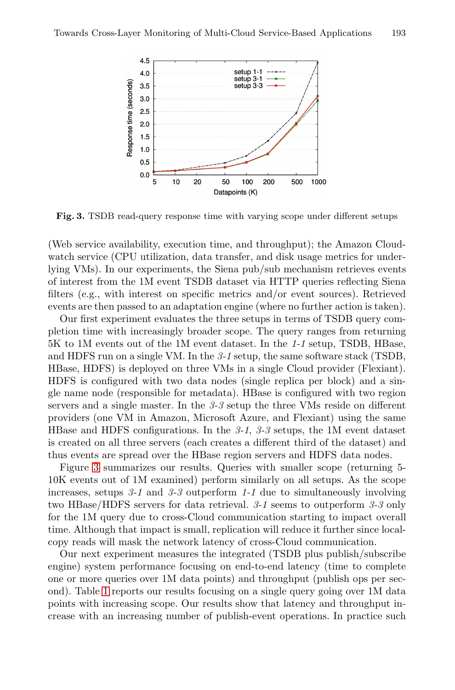

**Fig. 3.** TSDB read-query response time with varying scope under different setups

(Web service availability, execution time, and throughput); the Amazon Cloudwatch service (CPU utilization, data transfer, and disk usage metrics for underlying VMs). In our experiments, the Siena pub/sub mechanism retrieves events of interest from the 1M event TSDB dataset via HTTP queries reflecting Siena filters (e.g., with interest on specific metrics and/or event sources). Retrieved events are then passed to an adaptation engine (where no further action is taken).

Our first experiment evaluates the three setups in terms of TSDB query completion time with increasingly broader scope. The query ranges from returning 5K to 1M events out of the 1M event dataset. In the *1-1* setup, TSDB, HBase, and HDFS run on a single VM. In the *3-1* setup, the same software stack (TSDB, HBase, HDFS) is deployed on three VMs in a single Cloud provider (Flexiant). HDFS is configured with two data nodes (single replica per block) and a single name node (responsible for metadata). HBase is configured with two region servers and a single master. In the *3-3* setup the three VMs reside on different providers (one VM in Amazon, Microsoft Azure, and Flexiant) using the same HBase and HDFS configurations. In the *3-1*, *3-3* setups, the 1M event dataset is created on all three servers (each creates a different third of the dataset) and thus events are spread over the HBase region servers and HDFS data nodes.

Figure 3 summarizes our results. Queries with smaller scope (returning 5- 10K events out of 1M examined) perform similarly on all setups. As the scope increases, setups *3-1* and *3-3* outperform *1-1* due to simultaneously involving two HBase/HDFS servers for data retrieval. *3-1* seems to outperform *3-3* only for the 1M query due to cross-Cloud communication starting to impact overall time. Although that impact is small, replication will reduce it further since localcopy reads will mask the network latency of cross-Cloud communication.

Our next experiment measures the integrated (TSDB plus publish/subscribe engine) system performance focusing on end-to-end latency (time to complete one or more queries over 1M data points) and throughput (publish ops per second). Table 1 reports our results focusing on a single query going over 1M data points with increasing scope. Our results show that latency and throughput increase with an increasing number of publish-event operations. In practice such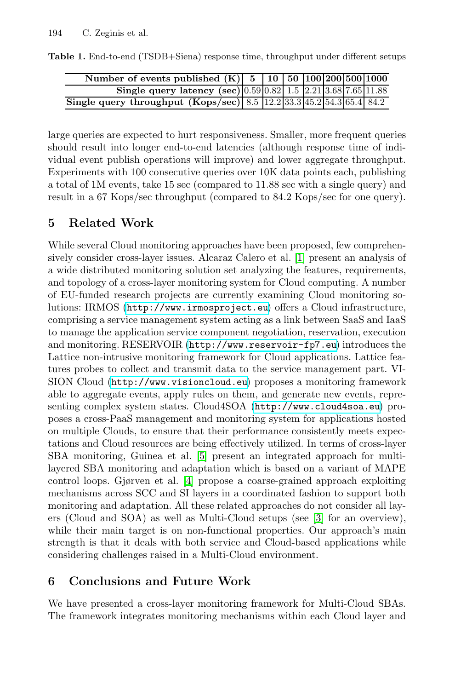<span id="page-6-0"></span>194 C. Zeginis et al.

**Table 1.** End-to-end (TSDB+Siena) response time, throughput under different setups

| Number of events published (K) $  5   10   50   100   200   500   1000$ |  |  |  |  |
|-------------------------------------------------------------------------|--|--|--|--|
| Single query latency (sec) $ 0.59 0.82 $ 1.5 2.21 3.68 7.65 11.88       |  |  |  |  |
| Single query throughput $(Kops/sec)$ 8.5 12.2 33.3 45.2 54.3 65.4 84.2  |  |  |  |  |

large queries are expected to hurt responsiveness. Smaller, more frequent queries should result into longer end-to-end latencies (although response time of individual event publish operations will [im](#page-7-5)prove) and lower aggregate throughput. Experiments with 100 consecutive queries over 10K data points each, publishing a total of 1M events, take 15 sec (compared to 11.88 sec with a single query) and result in a 67 Kops/sec throughput (compared to 84.2 Kops/sec for one query).

### **[5](http://www.irmosproject.eu) [Related](http://www.irmosproject.eu) [Work](http://www.irmosproject.eu)**

<span id="page-6-1"></span>While severa[l Cloud monitoring approaches hav](http://www.reservoir-fp7.eu)e been proposed, few comprehensively consider cross-layer issues. Alcaraz Calero et al. [1] present an analysis of a wide distributed monitoring solution set analyzing the features, requirements, [and topology of a cross-lay](http://www.visioncloud.eu)er monitoring system for Cloud computing. A number of EU-funded research projects are currently examining Cloud monitoring solutions: IRMOS (http://w[ww.irmosproject.eu](http://www.cloud4soa.eu)) offers a Cloud infrastructure, comprising a service management system acting as a link between SaaS and IaaS to manage the application service component negotiation, reservation, execution and monitoring. RESERVOIR (http://www.reservoir-fp7.eu) introduces the Lattice non-int[rus](#page-7-6)ive monitoring framework for Cloud applications. Lattice features probes to collect and transmit data to the service management part. VI-SION Cloud [\(](#page-7-7)http://www.visioncloud.eu) proposes a monitoring framework able to aggregate events, apply rules on them, and generate new events, representing complex system states. Cloud4SOA (http://www.cloud4soa.eu) proposes a cross-PaaS management and mo[nit](#page-7-1)oring system for applications hosted on multiple Clouds, to ensure that their performance consistently meets expectations and Cloud resources are being effectively utilized. In terms of cross-layer SBA monitoring, Guinea et al. [5] present an integrated approach for multilayered SBA monitoring and adaptation which is based on a variant of MAPE control loops. Gjørven et al. [4] propose a coarse-grained approach exploiting mechanisms across SCC and SI layers in a coordinated fashion to support both monitoring and adaptation. All these related approaches do not consider all layers (Cloud and SOA) as well as Multi-Cloud setups (see [3] for an overview), while their main target is on non-functional properties. Our approach's main strength is that it deals with both service and Cloud-based applications while considering challenges raised in a Multi-Cloud environment.

### **6 Conclusions and Future Work**

We have presented a cross-layer monitoring framework for Multi-Cloud SBAs. The framework integrates monitoring mechanisms within each Cloud layer and